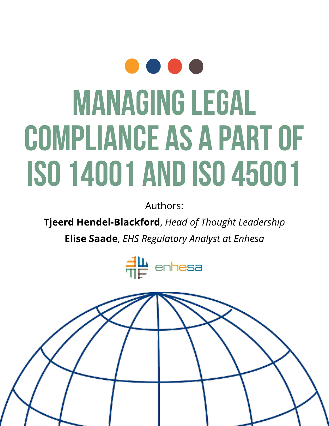# $\bullet$   $\bullet$ MANAGINGLEGAL COMPLIANCE AS A PART OF ISO14001ANDISO45001

Authors:

Tjeerd Hendel-Blackford, **Head of Thought Leadership**

Elise Saade, **EHSRegulatory Analyst at Enhesa**



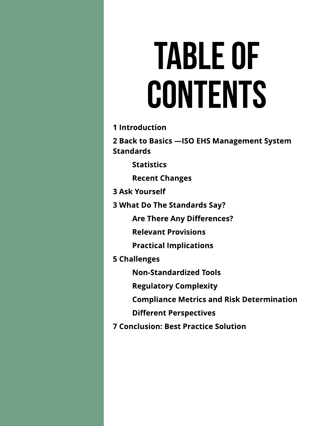# TABLEOF CONTENTS

**1 Introduction** 

2 Back to Basics - ISO EHS Management System **Standards** 

**Statistics** 

Recent Changes

3 Ask Yourself

3 What Do The Standards Say?

Are There Any Differences?

Relevant Provisions

**Practical Implications** 

5 Challenges

Non-Standardized Tools

**Regulatory Complexity** 

**Compliance Metrics and Risk Determination** 

**Different Perspectives** 

**7 Conclusion: Best Practice Solution**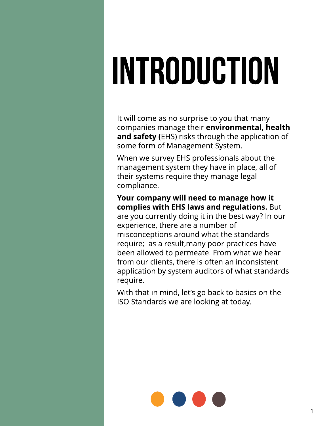# INTRODUCTION

It will come as no surprise to you that many companies manage their environmental, health and safety (EHS) risks through the application of some form of Management System.

When we survey EHS professionals about the management system they have in place, all of their systems require they manage legal compliance.

Your company will need to manage how it complies with EHS laws and regulations. But are you currently doing it in the best way? In our experience, there are a number of misconceptions around what the standards require; as a result,many poor practices have been allowed to permeate. From what we hear from our clients, there is often an inconsistent application by system auditors of what standards require.

With that in mind, let's go back to basics on the ISO Standards we are looking at today.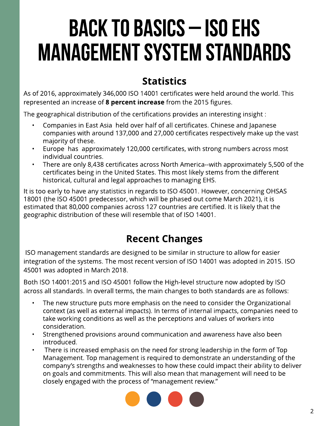# BACK TO BASICS - ISO EHS **MANAGEMENT SYSTEM STANDARDS**

### **Statistics**

As of 2016, approximately 346,000 ISO 14001 certificates were held around the world. This represented an increase of 8 percent increase from the 2015 figures.

The geographical distribution of the certifications provides an interesting insight :

- Companies in East Asia held over half of all certificates. Chinese and Japanese companies with around 137,000 and 27,000 certificates respectively make up the vast majority of these.
- Europe has approximately 120,000 certificates, with strong numbers across most individual countries.
- There are only 8,438 certificates across North America--with approximately 5,500 of the certificates being in the United States. This most likely stems from the different historical, cultural and legal approaches to managing EHS.

It is too early to have any statistics in regards to ISO 45001. However, concerning OHSAS 18001 (the ISO 45001 predecessor, which will be phased out come March 2021), it is estimated that 80,000 companies across 127 countries are certified. It is likely that the geographic distribution of these will resemble that of ISO 14001.

### Recent Changes

ISO management standards are designed to be similar in structure to allow for easier integration of the systems. The most recent version of ISO 14001 was adopted in 2015. ISO 45001 was adopted in March 2018.

Both ISO 14001:2015 and ISO 45001 follow the High-level structure now adopted by ISO across all standards. In overall terms, the main changes to both standards are as follows:

- The new structure puts more emphasis on the need to consider the Organizational context (as well as external impacts). In terms of internal impacts, companies need to take working conditions as well as the perceptions and values of workers into consideration.
- Strengthened provisions around communication and awareness have also been introduced.
- There is increased emphasis on the need for strong leadership in the form of Top Management. Top management is required to demonstrate an understanding of the company?s strengths and weaknesses to how these could impact their ability to deliver on goals and commitments. This will also mean that management will need to be closely engaged with the process of "management review."

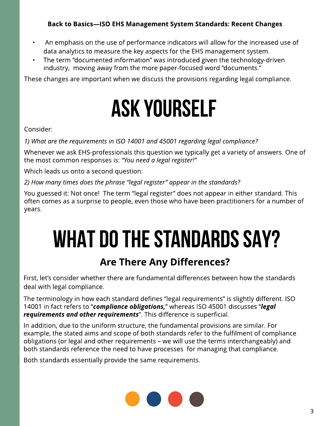#### Back to Basics-ISO EHS Management System Standards: Recent Changes

- An emphasis on the use of performance indicators will allow for the increased use of data analytics to measure the key aspects for the EHS management system.
- The term "documented information" was introduced given the technology-driven industry, moving away from the more paper-focused word "documents."

These changes are important when we discuss the provisions regarding legal compliance.

## AskYourself

#### Consider:

**1) What are the requirementsin ISO 14001 and 45001 regarding legal compliance?**

Whenever we ask EHS-professionals this question we typically get a variety of answers. One of the most common responses is: **?You need a legal register!?**

Which leads us onto a second question:

**2) How many timesdoesthe phrase ?legal register?appear in the standards?**

You guessed it: Not once! The term "legal register" does not appear in either standard. This often comes as a surprise to people, even those who have been practitioners for a number of years.

# WHAT DO THE STANDARDS SAY?

#### Are There Any Differences?

First, let's consider whether there are fundamental differences between how the standards deal with legal compliance.

The terminology in how each standard defines "legal requirements" is slightly different. ISO 14001 in fact refers to "compliance obligations," whereas ISO 45001 discusses "legal **requirements and other requirements**?. This difference is superficial.

In addition, due to the uniform structure, the fundamental provisions are similar. For example, the stated aims and scope of both standards refer to the fulfilment of compliance obligations (or legal and other requirements - we will use the terms interchangeably) and both standards reference the need to have processes for managing that compliance.

Both standards essentially provide the same requirements.

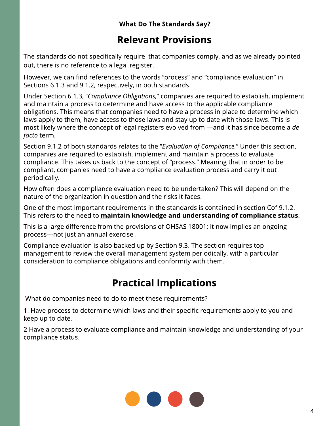#### What Do The Standards Say?

#### Relevant Provisions

The standards do not specifically require that companies comply, and as we already pointed out, there is no reference to a legal register.

However, we can find references to the words "process" and "compliance evaluation" in Sections 6.1.3 and 9.1.2, respectively, in both standards.

Under Section 6.1.3, "Compliance Obligations," companies are required to establish, implement and maintain a process to determine and have access to the applicable compliance obligations. This means that companies need to have a process in place to determine which laws apply to them, have access to those laws and stay up to date with those laws. This is most likely where the concept of legal registers evolved from —and it has since become a *de* **facto** term.

Section 9.1.2 of both standards relates to the ?**Evaluation of Compliance.**?Under this section, companies are required to establish, implement and maintain a process to evaluate compliance. This takes us back to the concept of "process." Meaning that in order to be compliant, companies need to have a compliance evaluation process and carry it out periodically.

How often does a compliance evaluation need to be undertaken?This will depend on the nature of the organization in question and the risks it faces.

One of the most important requirements in the standards is contained in section Cof 9.1.2. This refers to the need to **maintain knowledge and understanding of compliance status**.

This is a large difference from the provisions of OHSAS18001; it now implies an ongoing process-not just an annual exercise.

Compliance evaluation is also backed up by Section 9.3. The section requires top management to review the overall management system periodically, with a particular consideration to compliance obligations and conformity with them.

## **Practical Implications**

What do companies need to do to meet these requirements?

1. Have process to determine which laws and their specific requirements apply to you and keep up to date.

2 Have a process to evaluate compliance and maintain knowledge and understanding of your compliance status.

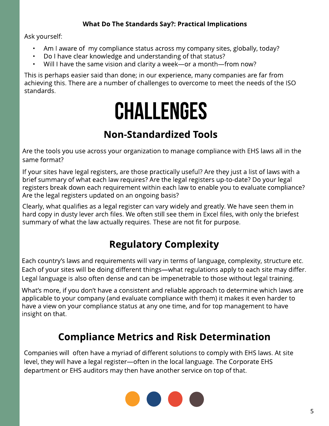#### What Do The Standards Say?: Practical Implications

Ask yourself:

- Am I aware of my compliance status across my company sites, globally, today?
- Do I have clear knowledge and understanding of that status?
- Will I have the same vision and clarity a week—or a month—from now?

This is perhaps easier said than done; in our experience, many companies are far from achieving this. There are a number of challenges to overcome to meet the needs of the ISO standards.

# CHALLENGES

### **Non-Standardized Tools**

Are the tools you use across your organization to manage compliance with EHSlaws all in the same format?

If your sites have legal registers, are those practically useful? Are they just a list of laws with a brief summary of what each law requires? Are the legal registers up-to-date? Do your legal registers break down each requirement within each law to enable you to evaluate compliance? Are the legal registers updated on an ongoing basis?

Clearly, what qualifies as a legal register can vary widely and greatly. We have seen them in hard copy in dusty lever arch files. We often still see them in Excel files, with only the briefest summary of what the law actually requires. These are not fit for purpose.

## **Regulatory Complexity**

Each country's laws and requirements will vary in terms of language, complexity, structure etc. Each of your sites will be doing different things—what regulations apply to each site may differ. Legal language is also often dense and can be impenetrable to those without legal training.

What's more, if you don't have a consistent and reliable approach to determine which laws are applicable to your company (and evaluate compliance with them) it makes it even harder to have a view on your compliance status at any one time, and for top management to have insight on that.

### **Compliance Metrics and Risk Determination**

Companies will often have a myriad of different solutions to comply with EHSlaws. At site level, they will have a legal register-often in the local language. The Corporate EHS department or EHS auditors may then have another service on top of that.

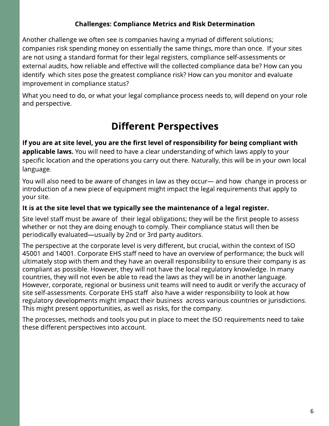#### **Challenges: Compliance Metrics and Risk Determination**

Another challenge we often see is companies having a myriad of different solutions; companies risk spending money on essentially the same things, more than once. If your sites are not using a standard format for their legal registers, compliance self-assessments or external audits, how reliable and effective will the collected compliance data be? How can you identify which sites pose the greatest compliance risk? How can you monitor and evaluate improvement in compliance status?

What you need to do, or what your legal compliance process needs to, will depend on your role and perspective.

#### **Different Perspectives**

If you are at site level, you are the first level of responsibility for being compliant with applicable laws. You will need to have a clear understanding of which laws apply to your specific location and the operations you carry out there. Naturally, this will be in your own local language.

You will also need to be aware of changes in law as they occur- and how change in process or introduction of a new piece of equipment might impact the legal requirements that apply to your site.

#### It is at the site level that we typically see the maintenance of a legal register.

Site level staff must be aware of their legal obligations; they will be the first people to assess whether or not they are doing enough to comply. Their compliance status will then be periodically evaluated—usually by 2nd or 3rd party auditors.

The perspective at the corporate level is very different, but crucial, within the context of ISO 45001 and 14001. Corporate EHS staff need to have an overview of performance; the buck will ultimately stop with them and they have an overall responsibility to ensure their company is as compliant as possible. However, they will not have the local regulatory knowledge. In many countries, they will not even be able to read the laws as they will be in another language. However, corporate, regional or business unit teams will need to audit or verify the accuracy of site self-assessments. Corporate EHS staff also have a wider responsibility to look at how regulatory developments might impact their business across various countries or jurisdictions. This might present opportunities, as well as risks, for the company.

The processes, methods and tools you put in place to meet the ISO requirements need to take these different perspectives into account.